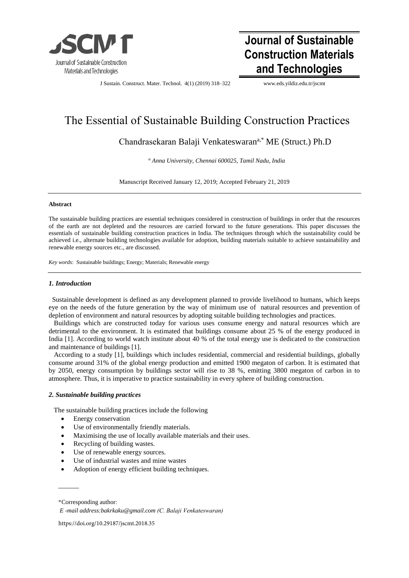

# **Journal of Sustainable Construction Materials and Technologies**

J Sustain. Construct. Mater. Technol. 4(1) (2019) 318–322 [www.e](http://www./)ds.yildiz.edu.tr/jscmt

# The Essential of Sustainable Building Construction Practices

Chandrasekaran Balaji Venkateswaran<sup>a,\*</sup> ME (Struct.) Ph.D

*a Anna University, Chennai 600025, Tamil Nadu, India* 

Manuscript Received January 12, 2019; Accepted February 21, 2019

#### **Abstract**

The sustainable building practices are essential techniques considered in construction of buildings in order that the resources of the earth are not depleted and the resources are carried forward to the future generations. This paper discusses the essentials of sustainable building construction practices in India. The techniques through which the sustainability could be achieved i.e., alternate building technologies available for adoption, building materials suitable to achieve sustainability and renewable energy sources etc., are discussed.

*Key words*: Sustainable buildings; Energy; Materials; Renewable energy

## *1. Introduction*

 Sustainable development is defined as any development planned to provide livelihood to humans, which keeps eye on the needs of the future generation by the way of minimum use of natural resources and prevention of depletion of environment and natural resources by adopting suitable building technologies and practices.

 Buildings which are constructed today for various uses consume energy and natural resources which are detrimental to the environment. It is estimated that buildings consume about 25 % of the energy produced in India [1]. According to world watch institute about 40 % of the total energy use is dedicated to the construction and maintenance of buildings [1].

 According to a study [1], buildings which includes residential, commercial and residential buildings, globally consume around 31% of the global energy production and emitted 1900 megaton of carbon. It is estimated that by 2050, energy consumption by buildings sector will rise to 38 %, emitting 3800 megaton of carbon in to atmosphere. Thus, it is imperative to practice sustainability in every sphere of building construction.

## *2. Sustainable building practices*

The sustainable building practices include the following

- Energy conservation
- Use of environmentally friendly materials.
- Maximising the use of locally available materials and their uses.
- Recycling of building wastes.
- Use of renewable energy sources.
- Use of industrial wastes and mine wastes
- Adoption of energy efficient building techniques.

 $\overline{\phantom{a}}$ 

https://doi.org/10.29187/jscmt.2018.35

<sup>\*</sup>Corresponding author:

*E -mail address:bakrkaku@gmail.com (C. Balaji Venkateswaran)*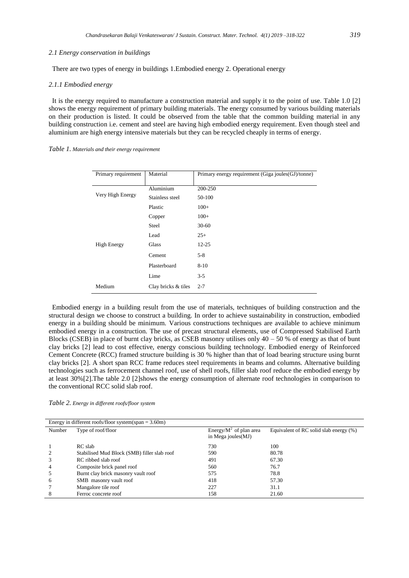#### *2.1 Energy conservation in buildings*

There are two types of energy in buildings 1.Embodied energy 2. Operational energy

#### *2.1.1 Embodied energy*

 It is the energy required to manufacture a construction material and supply it to the point of use. Table 1.0 [2] shows the energy requirement of primary building materials. The energy consumed by various building materials on their production is listed. It could be observed from the table that the common building material in any building construction i.e. cement and steel are having high embodied energy requirement. Even though steel and aluminium are high energy intensive materials but they can be recycled cheaply in terms of energy.

|  |  |  |  |  | Table 1. Materials and their energy requirement |
|--|--|--|--|--|-------------------------------------------------|
|--|--|--|--|--|-------------------------------------------------|

| Primary requirement | Material            | Primary energy requirement (Giga joules(GJ)/tonne) |
|---------------------|---------------------|----------------------------------------------------|
|                     | Aluminium           | 200-250                                            |
| Very High Energy    | Stainless steel     | 50-100                                             |
|                     | Plastic             | $100+$                                             |
|                     | Copper              | $100+$                                             |
|                     | <b>Steel</b>        | $30 - 60$                                          |
|                     | Lead                | $25+$                                              |
| <b>High Energy</b>  | Glass               | $12 - 25$                                          |
|                     | Cement              | $5-8$                                              |
|                     | Plasterboard        | $8-10$                                             |
|                     | Lime                | $3 - 5$                                            |
| Medium              | Clay bricks & tiles | $2 - 7$                                            |

 Embodied energy in a building result from the use of materials, techniques of building construction and the structural design we choose to construct a building. In order to achieve sustainability in construction, embodied energy in a building should be minimum. Various constructions techniques are available to achieve minimum embodied energy in a construction. The use of precast structural elements, use of Compressed Stabilised Earth Blocks (CSEB) in place of burnt clay bricks, as CSEB masonry utilises only  $40 - 50$  % of energy as that of bunt clay bricks [2] lead to cost effective, energy conscious building technology. Embodied energy of Reinforced Cement Concrete (RCC) framed structure building is 30 % higher than that of load bearing structure using burnt clay bricks [2]. A short span RCC frame reduces steel requirements in beams and columns. Alternative building technologies such as ferrocement channel roof, use of shell roofs, filler slab roof reduce the embodied energy by at least 30%[2].The table 2.0 [2]shows the energy consumption of alternate roof technologies in comparison to the conventional RCC solid slab roof.

|  |  |  |  | Table 2. Energy in different roofs/floor system |  |
|--|--|--|--|-------------------------------------------------|--|
|--|--|--|--|-------------------------------------------------|--|

| Energy in different roofs/floor system(span = $3.60$ m) |                                             |                                                   |                                           |  |  |
|---------------------------------------------------------|---------------------------------------------|---------------------------------------------------|-------------------------------------------|--|--|
| Number                                                  | Type of roof/floor                          | Energy/ $M^2$ of plan area<br>in Mega joules (MJ) | Equivalent of RC solid slab energy $(\%)$ |  |  |
|                                                         | RC slab                                     | 730                                               | 100                                       |  |  |
|                                                         | Stabilised Mud Block (SMB) filler slab roof | 590                                               | 80.78                                     |  |  |
|                                                         | RC ribbed slab roof                         | 491                                               | 67.30                                     |  |  |
|                                                         | Composite brick panel roof                  | 560                                               | 76.7                                      |  |  |
|                                                         | Burnt clay brick masonry vault roof         | 575                                               | 78.8                                      |  |  |
| 6                                                       | SMB masonry vault roof                      | 418                                               | 57.30                                     |  |  |
|                                                         | Mangalore tile roof                         | 227                                               | 31.1                                      |  |  |
|                                                         | Ferroc concrete roof                        | 158                                               | 21.60                                     |  |  |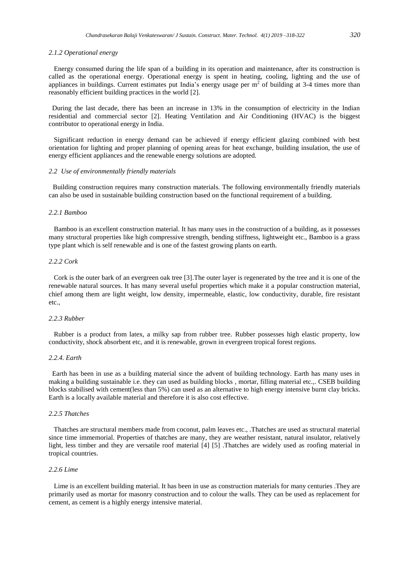#### *2.1.2 Operational energy*

 Energy consumed during the life span of a building in its operation and maintenance, after its construction is called as the operational energy. Operational energy is spent in heating, cooling, lighting and the use of appliances in buildings. Current estimates put India's energy usage per  $m^2$  of building at 3-4 times more than reasonably efficient building practices in the world [2].

 During the last decade, there has been an increase in 13% in the consumption of electricity in the Indian residential and commercial sector [2]. Heating Ventilation and Air Conditioning (HVAC) is the biggest contributor to operational energy in India.

 Significant reduction in energy demand can be achieved if energy efficient glazing combined with best orientation for lighting and proper planning of opening areas for heat exchange, building insulation, the use of energy efficient appliances and the renewable energy solutions are adopted.

#### *2.2 Use of environmentally friendly materials*

 Building construction requires many construction materials. The following environmentally friendly materials can also be used in sustainable building construction based on the functional requirement of a building.

#### *2.2.1 Bamboo*

 Bamboo is an excellent construction material. It has many uses in the construction of a building, as it possesses many structural properties like high compressive strength, bending stiffness, lightweight etc., Bamboo is a grass type plant which is self renewable and is one of the fastest growing plants on earth.

#### *2.2.2 Cork*

 Cork is the outer bark of an evergreen oak tree [3].The outer layer is regenerated by the tree and it is one of the renewable natural sources. It has many several useful properties which make it a popular construction material, chief among them are light weight, low density, impermeable, elastic, low conductivity, durable, fire resistant etc.,

### *2.2.3 Rubber*

 Rubber is a product from latex, a milky sap from rubber tree. Rubber possesses high elastic property, low conductivity, shock absorbent etc, and it is renewable, grown in evergreen tropical forest regions.

#### *2.2.4. Earth*

 Earth has been in use as a building material since the advent of building technology. Earth has many uses in making a building sustainable i.e. they can used as building blocks , mortar, filling material etc.,. CSEB building blocks stabilised with cement(less than 5%) can used as an alternative to high energy intensive burnt clay bricks. Earth is a locally available material and therefore it is also cost effective.

#### *2.2.5 Thatches*

 Thatches are structural members made from coconut, palm leaves etc., .Thatches are used as structural material since time immemorial. Properties of thatches are many, they are weather resistant, natural insulator, relatively light, less timber and they are versatile roof material [4] [5] .Thatches are widely used as roofing material in tropical countries.

### *2.2.6 Lime*

 Lime is an excellent building material. It has been in use as construction materials for many centuries .They are primarily used as mortar for masonry construction and to colour the walls. They can be used as replacement for cement, as cement is a highly energy intensive material.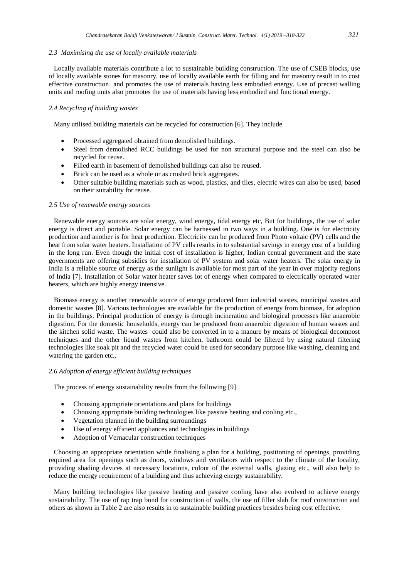#### *2.3 Maximising the use of locally available materials*

 Locally available materials contribute a lot to sustainable building construction. The use of CSEB blocks, use of locally available stones for masonry, use of locally available earth for filling and for masonry result in to cost effective construction and promotes the use of materials having less embodied energy. Use of precast walling units and roofing units also promotes the use of materials having less embodied and functional energy.

# *2.4 Recycling of building wastes*

Many utilised building materials can be recycled for construction [6]. They include

- Processed aggregated obtained from demolished buildings.
- Steel from demolished RCC buildings be used for non structural purpose and the steel can also be recycled for reuse.
- Filled earth in basement of demolished buildings can also be reused.
- Brick can be used as a whole or as crushed brick aggregates.
- Other suitable building materials such as wood, plastics, and tiles, electric wires can also be used, based on their suitability for reuse.

#### *2.5 Use of renewable energy sources*

 Renewable energy sources are solar energy, wind energy, tidal energy etc, But for buildings, the use of solar energy is direct and portable. Solar energy can be harnessed in two ways in a building. One is for electricity production and another is for heat production. Electricity can be produced from Photo voltaic (PV) cells and the heat from solar water heaters. Installation of PV cells results in to substantial savings in energy cost of a building in the long run. Even though the initial cost of installation is higher, Indian central government and the state governments are offering subsidies for installation of PV system and solar water heaters. The solar energy in India is a reliable source of energy as the sunlight is available for most part of the year in over majority regions of India [7]. Installation of Solar water heater saves lot of energy when compared to electrically operated water heaters, which are highly energy intensive.

 Biomass energy is another renewable source of energy produced from industrial wastes, municipal wastes and domestic wastes [8]. Various technologies are available for the production of energy from biomass, for adoption in the buildings. Principal production of energy is through incineration and biological processes like anaerobic digestion. For the domestic households, energy can be produced from anaerobic digestion of human wastes and the kitchen solid waste. The wastes could also be converted in to a manure by means of biological decompost techniques and the other liquid wastes from kitchen, bathroom could be filtered by using natural filtering technologies like soak pit and the recycled water could be used for secondary purpose like washing, cleaning and watering the garden etc.,

## *2.6 Adoption of energy efficient building techniques*

The process of energy sustainability results from the following [9]

- Choosing appropriate orientations and plans for buildings
- Choosing appropriate building technologies like passive heating and cooling etc.,
- Vegetation planned in the building surroundings
- Use of energy efficient appliances and technologies in buildings
- Adoption of Vernacular construction techniques

 Choosing an appropriate orientation while finalising a plan for a building, positioning of openings, providing required area for openings such as doors, windows and ventilators with respect to the climate of the locality, providing shading devices at necessary locations, colour of the external walls, glazing etc., will also help to reduce the energy requirement of a building and thus achieving energy sustainability.

 Many building technologies like passive heating and passive cooling have also evolved to achieve energy sustainability. The use of rap trap bond for construction of walls, the use of filler slab for roof construction and others as shown in Table 2 are also results in to sustainable building practices besides being cost effective.